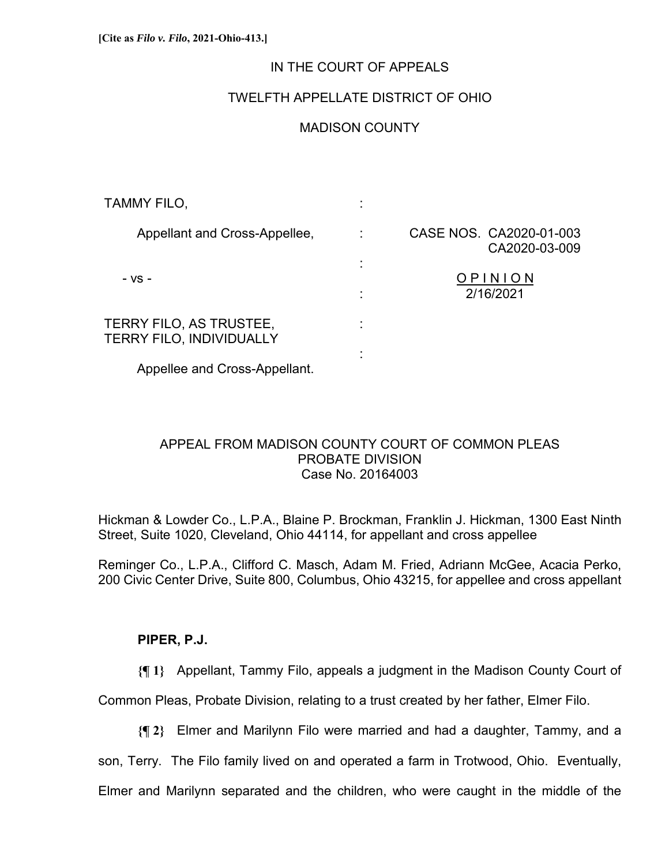### IN THE COURT OF APPEALS

# TWELFTH APPELLATE DISTRICT OF OHIO

## MADISON COUNTY

| TAMMY FILO,                                                |   |                                          |
|------------------------------------------------------------|---|------------------------------------------|
| Appellant and Cross-Appellee,                              | ٠ | CASE NOS. CA2020-01-003<br>CA2020-03-009 |
| - VS -                                                     |   | OPINION<br>2/16/2021                     |
| TERRY FILO, AS TRUSTEE,<br><b>TERRY FILO, INDIVIDUALLY</b> |   |                                          |
|                                                            |   |                                          |

Appellee and Cross-Appellant.

## APPEAL FROM MADISON COUNTY COURT OF COMMON PLEAS PROBATE DIVISION Case No. 20164003

Hickman & Lowder Co., L.P.A., Blaine P. Brockman, Franklin J. Hickman, 1300 East Ninth Street, Suite 1020, Cleveland, Ohio 44114, for appellant and cross appellee

Reminger Co., L.P.A., Clifford C. Masch, Adam M. Fried, Adriann McGee, Acacia Perko, 200 Civic Center Drive, Suite 800, Columbus, Ohio 43215, for appellee and cross appellant

# **PIPER, P.J.**

**{¶ 1}** Appellant, Tammy Filo, appeals a judgment in the Madison County Court of

Common Pleas, Probate Division, relating to a trust created by her father, Elmer Filo.

**{¶ 2}** Elmer and Marilynn Filo were married and had a daughter, Tammy, and a

son, Terry. The Filo family lived on and operated a farm in Trotwood, Ohio. Eventually,

Elmer and Marilynn separated and the children, who were caught in the middle of the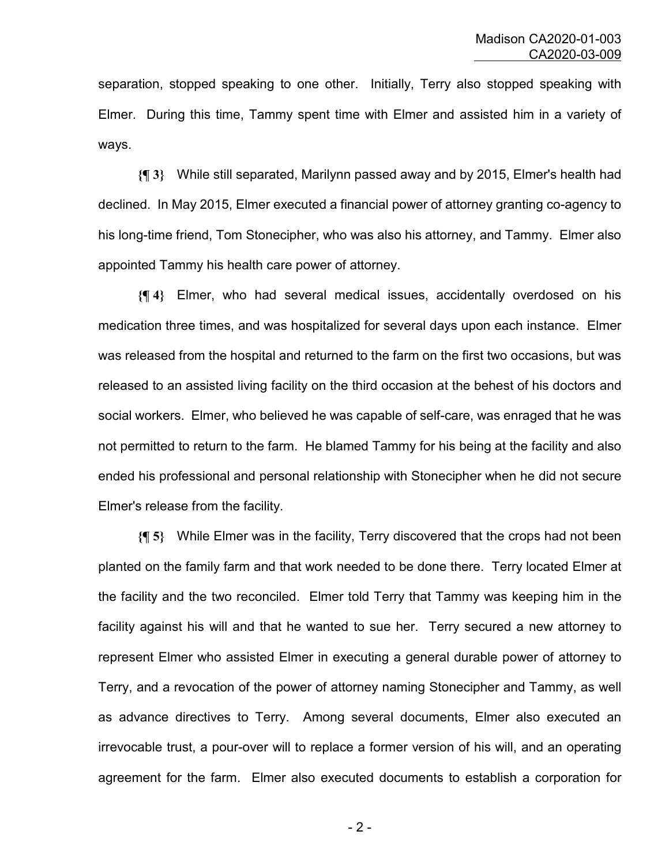separation, stopped speaking to one other. Initially, Terry also stopped speaking with Elmer. During this time, Tammy spent time with Elmer and assisted him in a variety of ways.

**{¶ 3}** While still separated, Marilynn passed away and by 2015, Elmer's health had declined. In May 2015, Elmer executed a financial power of attorney granting co-agency to his long-time friend, Tom Stonecipher, who was also his attorney, and Tammy. Elmer also appointed Tammy his health care power of attorney.

**{¶ 4}** Elmer, who had several medical issues, accidentally overdosed on his medication three times, and was hospitalized for several days upon each instance. Elmer was released from the hospital and returned to the farm on the first two occasions, but was released to an assisted living facility on the third occasion at the behest of his doctors and social workers. Elmer, who believed he was capable of self-care, was enraged that he was not permitted to return to the farm. He blamed Tammy for his being at the facility and also ended his professional and personal relationship with Stonecipher when he did not secure Elmer's release from the facility.

**{¶ 5}** While Elmer was in the facility, Terry discovered that the crops had not been planted on the family farm and that work needed to be done there. Terry located Elmer at the facility and the two reconciled. Elmer told Terry that Tammy was keeping him in the facility against his will and that he wanted to sue her. Terry secured a new attorney to represent Elmer who assisted Elmer in executing a general durable power of attorney to Terry, and a revocation of the power of attorney naming Stonecipher and Tammy, as well as advance directives to Terry. Among several documents, Elmer also executed an irrevocable trust, a pour-over will to replace a former version of his will, and an operating agreement for the farm. Elmer also executed documents to establish a corporation for

- 2 -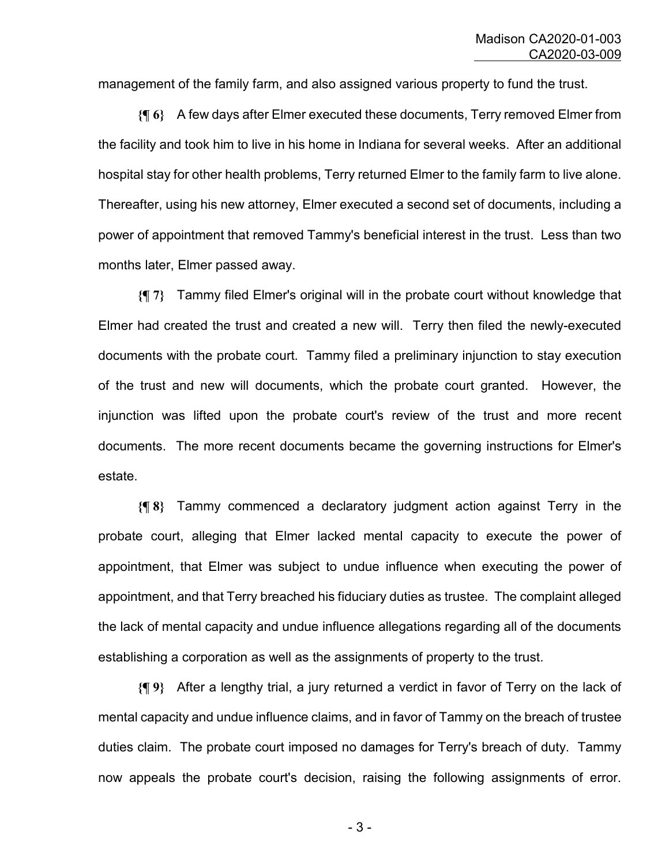management of the family farm, and also assigned various property to fund the trust.

**{¶ 6}** A few days after Elmer executed these documents, Terry removed Elmer from the facility and took him to live in his home in Indiana for several weeks. After an additional hospital stay for other health problems, Terry returned Elmer to the family farm to live alone. Thereafter, using his new attorney, Elmer executed a second set of documents, including a power of appointment that removed Tammy's beneficial interest in the trust. Less than two months later, Elmer passed away.

**{¶ 7}** Tammy filed Elmer's original will in the probate court without knowledge that Elmer had created the trust and created a new will. Terry then filed the newly-executed documents with the probate court. Tammy filed a preliminary injunction to stay execution of the trust and new will documents, which the probate court granted. However, the injunction was lifted upon the probate court's review of the trust and more recent documents. The more recent documents became the governing instructions for Elmer's estate.

**{¶ 8}** Tammy commenced a declaratory judgment action against Terry in the probate court, alleging that Elmer lacked mental capacity to execute the power of appointment, that Elmer was subject to undue influence when executing the power of appointment, and that Terry breached his fiduciary duties as trustee. The complaint alleged the lack of mental capacity and undue influence allegations regarding all of the documents establishing a corporation as well as the assignments of property to the trust.

**{¶ 9}** After a lengthy trial, a jury returned a verdict in favor of Terry on the lack of mental capacity and undue influence claims, and in favor of Tammy on the breach of trustee duties claim. The probate court imposed no damages for Terry's breach of duty. Tammy now appeals the probate court's decision, raising the following assignments of error.

- 3 -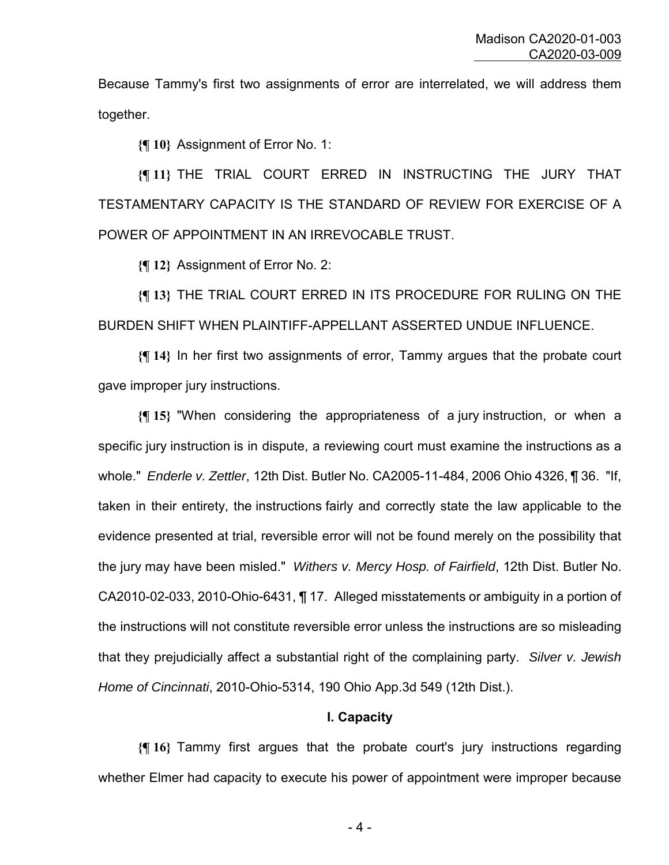Because Tammy's first two assignments of error are interrelated, we will address them together.

**{¶ 10}** Assignment of Error No. 1:

**{¶ 11}** THE TRIAL COURT ERRED IN INSTRUCTING THE JURY THAT TESTAMENTARY CAPACITY IS THE STANDARD OF REVIEW FOR EXERCISE OF A POWER OF APPOINTMENT IN AN IRREVOCABLE TRUST.

**{¶ 12}** Assignment of Error No. 2:

**{¶ 13}** THE TRIAL COURT ERRED IN ITS PROCEDURE FOR RULING ON THE BURDEN SHIFT WHEN PLAINTIFF-APPELLANT ASSERTED UNDUE INFLUENCE.

**{¶ 14}** In her first two assignments of error, Tammy argues that the probate court gave improper jury instructions.

**{¶ 15}** "When considering the appropriateness of a jury instruction, or when a specific jury instruction is in dispute, a reviewing court must examine the instructions as a whole." *Enderle v. Zettler*, 12th Dist. Butler No. CA2005-11-484, 2006 Ohio 4326, ¶ 36. "If, taken in their entirety, the instructions fairly and correctly state the law applicable to the evidence presented at trial, reversible error will not be found merely on the possibility that the jury may have been misled." *Withers v. Mercy Hosp. of Fairfield*, 12th Dist. Butler No. CA2010-02-033, 2010-Ohio-6431, ¶ 17. Alleged misstatements or ambiguity in a portion of the instructions will not constitute reversible error unless the instructions are so misleading that they prejudicially affect a substantial right of the complaining party. *Silver v. Jewish Home of Cincinnati*, 2010-Ohio-5314, 190 Ohio App.3d 549 (12th Dist.).

#### **I. Capacity**

**{¶ 16}** Tammy first argues that the probate court's jury instructions regarding whether Elmer had capacity to execute his power of appointment were improper because

- 4 -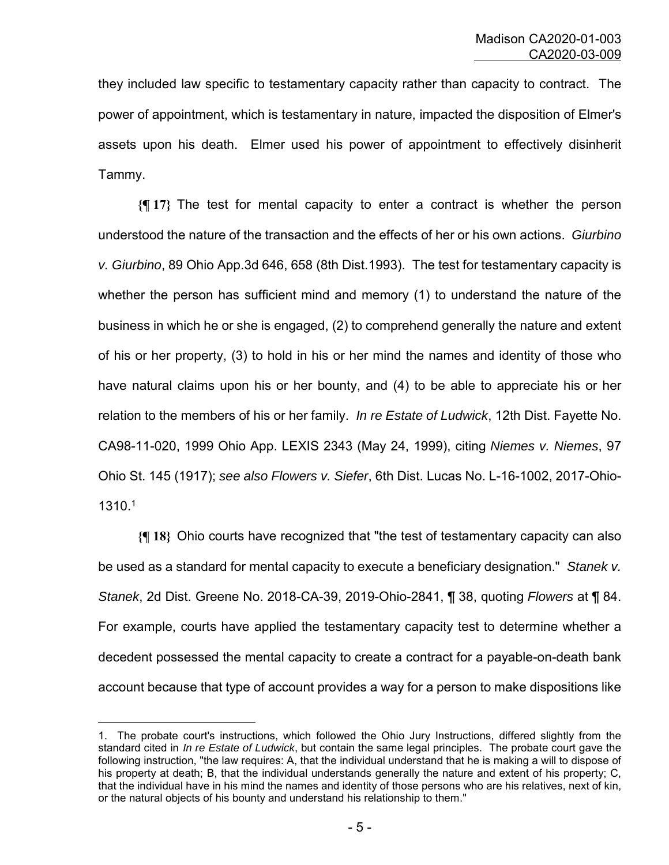they included law specific to testamentary capacity rather than capacity to contract. The power of appointment, which is testamentary in nature, impacted the disposition of Elmer's assets upon his death. Elmer used his power of appointment to effectively disinherit Tammy.

**{¶ 17}** The test for mental capacity to enter a contract is whether the person understood the nature of the transaction and the effects of her or his own actions. *Giurbino v. Giurbino*, 89 Ohio App.3d 646, 658 (8th Dist.1993). The test for testamentary capacity is whether the person has sufficient mind and memory (1) to understand the nature of the business in which he or she is engaged, (2) to comprehend generally the nature and extent of his or her property, (3) to hold in his or her mind the names and identity of those who have natural claims upon his or her bounty, and (4) to be able to appreciate his or her relation to the members of his or her family. *In re Estate of Ludwick*, 12th Dist. Fayette No. CA98-11-020, 1999 Ohio App. LEXIS 2343 (May 24, 1999), citing *Niemes v. Niemes*, 97 Ohio St. 145 (1917); *see also Flowers v. Siefer*, 6th Dist. Lucas No. L-16-1002, 2017-Ohio-1310.1

**{¶ 18}** Ohio courts have recognized that "the test of testamentary capacity can also be used as a standard for mental capacity to execute a beneficiary designation." *Stanek v. Stanek*, 2d Dist. Greene No. 2018-CA-39, 2019-Ohio-2841, ¶ 38, quoting *Flowers* at ¶ 84. For example, courts have applied the testamentary capacity test to determine whether a decedent possessed the mental capacity to create a contract for a payable-on-death bank account because that type of account provides a way for a person to make dispositions like

a<br>B

<sup>1.</sup> The probate court's instructions, which followed the Ohio Jury Instructions, differed slightly from the standard cited in *In re Estate of Ludwick*, but contain the same legal principles. The probate court gave the following instruction, "the law requires: A, that the individual understand that he is making a will to dispose of his property at death; B, that the individual understands generally the nature and extent of his property; C, that the individual have in his mind the names and identity of those persons who are his relatives, next of kin, or the natural objects of his bounty and understand his relationship to them."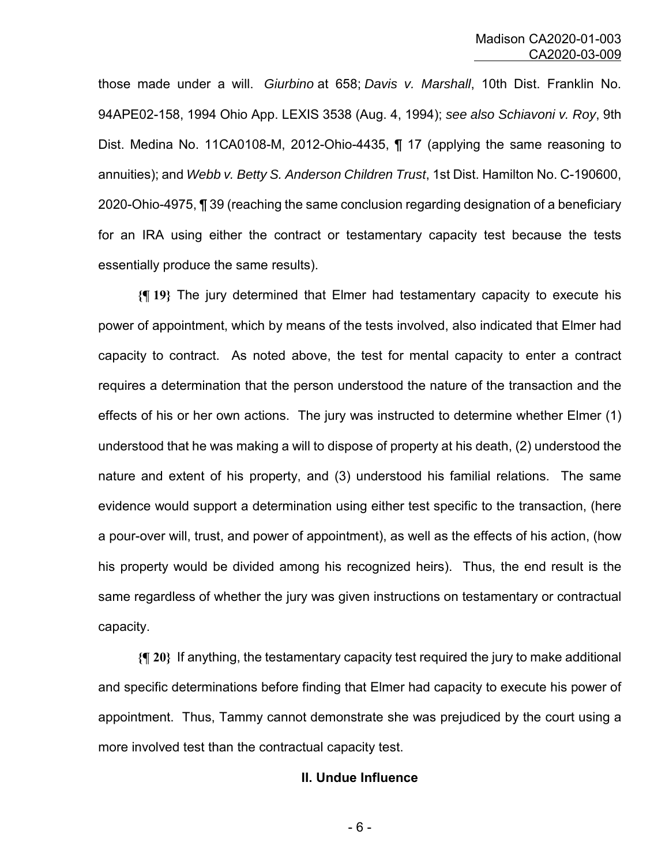those made under a will. *Giurbino* at 658; *Davis v. Marshall*, 10th Dist. Franklin No. 94APE02-158, 1994 Ohio App. LEXIS 3538 (Aug. 4, 1994); *see also Schiavoni v. Roy*, 9th Dist. Medina No. 11CA0108-M, 2012-Ohio-4435, ¶ 17 (applying the same reasoning to annuities); and *Webb v. Betty S. Anderson Children Trust*, 1st Dist. Hamilton No. C-190600, 2020-Ohio-4975, ¶ 39 (reaching the same conclusion regarding designation of a beneficiary for an IRA using either the contract or testamentary capacity test because the tests essentially produce the same results).

**{¶ 19}** The jury determined that Elmer had testamentary capacity to execute his power of appointment, which by means of the tests involved, also indicated that Elmer had capacity to contract. As noted above, the test for mental capacity to enter a contract requires a determination that the person understood the nature of the transaction and the effects of his or her own actions. The jury was instructed to determine whether Elmer (1) understood that he was making a will to dispose of property at his death, (2) understood the nature and extent of his property, and (3) understood his familial relations. The same evidence would support a determination using either test specific to the transaction, (here a pour-over will, trust, and power of appointment), as well as the effects of his action, (how his property would be divided among his recognized heirs). Thus, the end result is the same regardless of whether the jury was given instructions on testamentary or contractual capacity.

**{¶ 20}** If anything, the testamentary capacity test required the jury to make additional and specific determinations before finding that Elmer had capacity to execute his power of appointment. Thus, Tammy cannot demonstrate she was prejudiced by the court using a more involved test than the contractual capacity test.

#### **II. Undue Influence**

- 6 -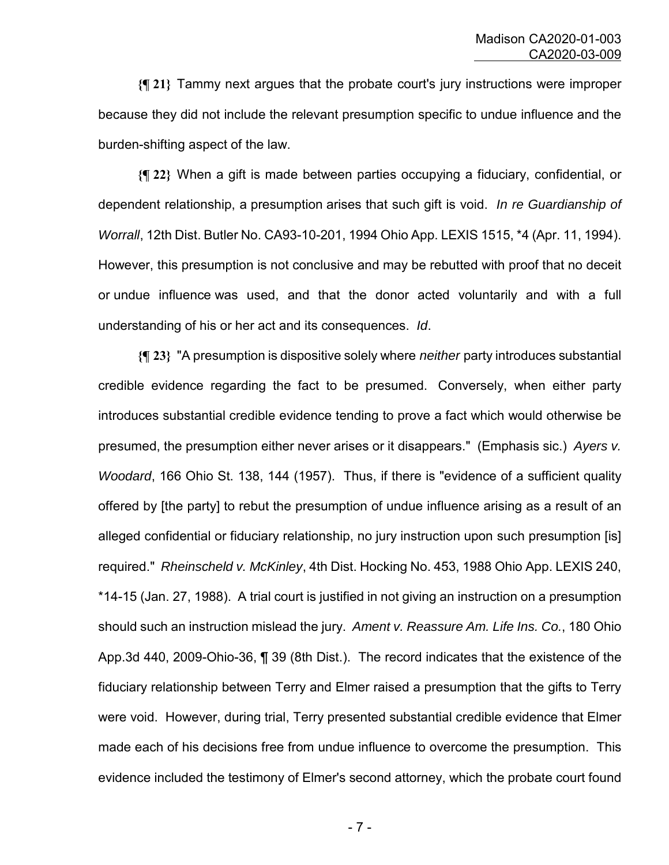**{¶ 21}** Tammy next argues that the probate court's jury instructions were improper because they did not include the relevant presumption specific to undue influence and the burden-shifting aspect of the law.

**{¶ 22}** When a gift is made between parties occupying a fiduciary, confidential, or dependent relationship, a presumption arises that such gift is void. *In re Guardianship of Worrall*, 12th Dist. Butler No. CA93-10-201, 1994 Ohio App. LEXIS 1515, \*4 (Apr. 11, 1994). However, this presumption is not conclusive and may be rebutted with proof that no deceit or undue influence was used, and that the donor acted voluntarily and with a full understanding of his or her act and its consequences. *Id*.

**{¶ 23}** "A presumption is dispositive solely where *neither* party introduces substantial credible evidence regarding the fact to be presumed. Conversely, when either party introduces substantial credible evidence tending to prove a fact which would otherwise be presumed, the presumption either never arises or it disappears." (Emphasis sic.) *Ayers v. Woodard*, 166 Ohio St. 138, 144 (1957). Thus, if there is "evidence of a sufficient quality offered by [the party] to rebut the presumption of undue influence arising as a result of an alleged confidential or fiduciary relationship, no jury instruction upon such presumption [is] required." *Rheinscheld v. McKinley*, 4th Dist. Hocking No. 453, 1988 Ohio App. LEXIS 240, \*14-15 (Jan. 27, 1988). A trial court is justified in not giving an instruction on a presumption should such an instruction mislead the jury. *Ament v. Reassure Am. Life Ins. Co.*, 180 Ohio App.3d 440, 2009-Ohio-36, ¶ 39 (8th Dist.). The record indicates that the existence of the fiduciary relationship between Terry and Elmer raised a presumption that the gifts to Terry were void. However, during trial, Terry presented substantial credible evidence that Elmer made each of his decisions free from undue influence to overcome the presumption. This evidence included the testimony of Elmer's second attorney, which the probate court found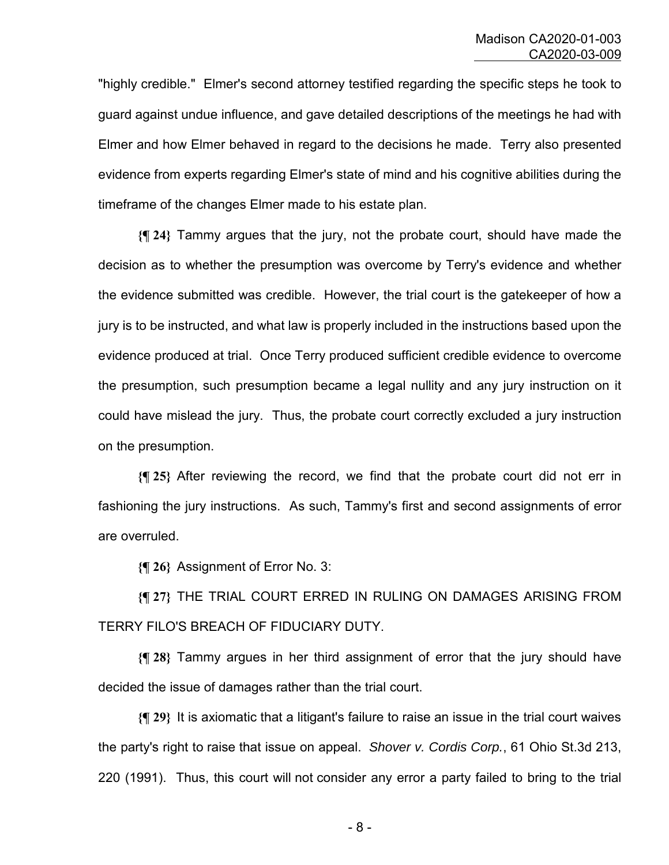"highly credible." Elmer's second attorney testified regarding the specific steps he took to guard against undue influence, and gave detailed descriptions of the meetings he had with Elmer and how Elmer behaved in regard to the decisions he made. Terry also presented evidence from experts regarding Elmer's state of mind and his cognitive abilities during the timeframe of the changes Elmer made to his estate plan.

**{¶ 24}** Tammy argues that the jury, not the probate court, should have made the decision as to whether the presumption was overcome by Terry's evidence and whether the evidence submitted was credible. However, the trial court is the gatekeeper of how a jury is to be instructed, and what law is properly included in the instructions based upon the evidence produced at trial. Once Terry produced sufficient credible evidence to overcome the presumption, such presumption became a legal nullity and any jury instruction on it could have mislead the jury. Thus, the probate court correctly excluded a jury instruction on the presumption.

**{¶ 25}** After reviewing the record, we find that the probate court did not err in fashioning the jury instructions. As such, Tammy's first and second assignments of error are overruled.

**{¶ 26}** Assignment of Error No. 3:

**{¶ 27}** THE TRIAL COURT ERRED IN RULING ON DAMAGES ARISING FROM TERRY FILO'S BREACH OF FIDUCIARY DUTY.

**{¶ 28}** Tammy argues in her third assignment of error that the jury should have decided the issue of damages rather than the trial court.

**{¶ 29}** It is axiomatic that a litigant's failure to raise an issue in the trial court waives the party's right to raise that issue on appeal. *Shover v. Cordis Corp.*, 61 Ohio St.3d 213, 220 (1991). Thus, this court will not consider any error a party failed to bring to the trial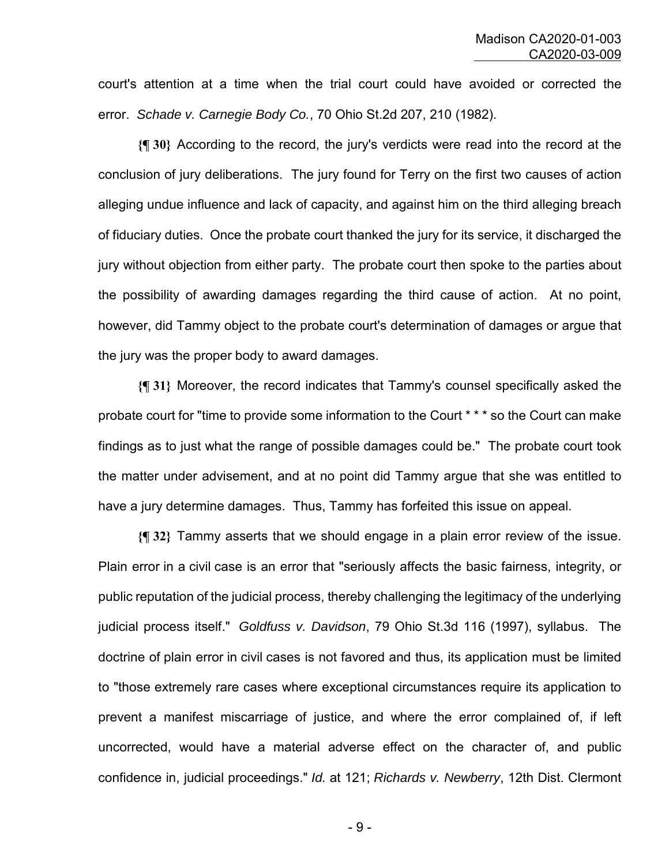court's attention at a time when the trial court could have avoided or corrected the error. *Schade v. Carnegie Body Co.*, 70 Ohio St.2d 207, 210 (1982).

**{¶ 30}** According to the record, the jury's verdicts were read into the record at the conclusion of jury deliberations. The jury found for Terry on the first two causes of action alleging undue influence and lack of capacity, and against him on the third alleging breach of fiduciary duties. Once the probate court thanked the jury for its service, it discharged the jury without objection from either party. The probate court then spoke to the parties about the possibility of awarding damages regarding the third cause of action. At no point, however, did Tammy object to the probate court's determination of damages or argue that the jury was the proper body to award damages.

**{¶ 31}** Moreover, the record indicates that Tammy's counsel specifically asked the probate court for "time to provide some information to the Court \* \* \* so the Court can make findings as to just what the range of possible damages could be." The probate court took the matter under advisement, and at no point did Tammy argue that she was entitled to have a jury determine damages. Thus, Tammy has forfeited this issue on appeal.

**{¶ 32}** Tammy asserts that we should engage in a plain error review of the issue. Plain error in a civil case is an error that "seriously affects the basic fairness, integrity, or public reputation of the judicial process, thereby challenging the legitimacy of the underlying judicial process itself." *Goldfuss v. Davidson*, 79 Ohio St.3d 116 (1997), syllabus. The doctrine of plain error in civil cases is not favored and thus, its application must be limited to "those extremely rare cases where exceptional circumstances require its application to prevent a manifest miscarriage of justice, and where the error complained of, if left uncorrected, would have a material adverse effect on the character of, and public confidence in, judicial proceedings." *Id.* at 121; *Richards v. Newberry*, 12th Dist. Clermont

- 9 -